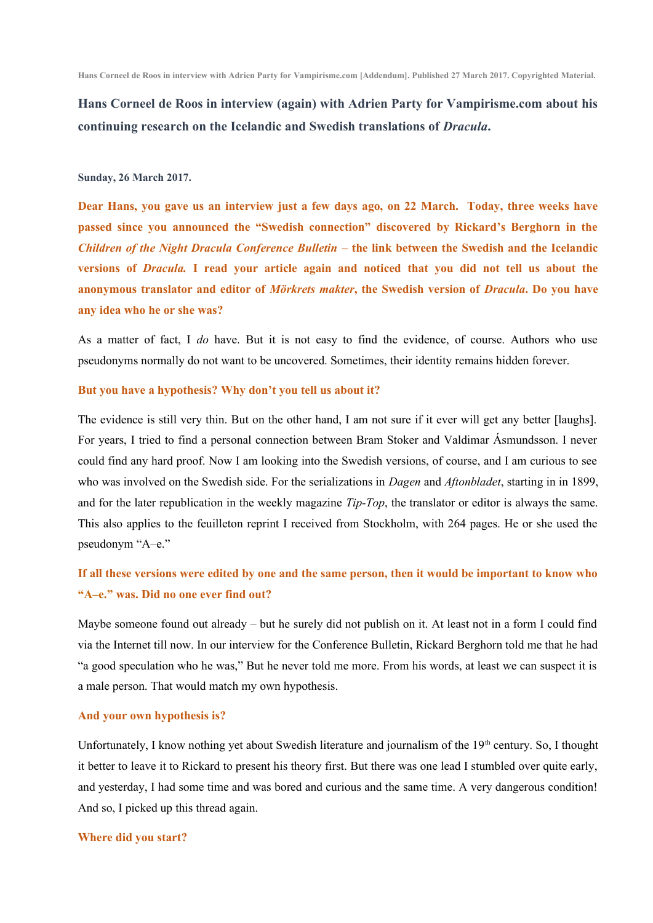**Hans Corneel de Roos in interview (again) with Adrien Party for Vampirisme.com about his continuing research on the Icelandic and Swedish translations of** *Dracula***.**

#### **Sunday, 26 March 2017.**

**Dear Hans, you gave us an interview just a few days ago, on 22 March. Today, three weeks have passed since you announced the "Swedish connection" discovered by Rickard's Berghorn in the** *Children of the Night Dracula Conference Bulletin* – the link between the Swedish and the Icelandic **versions of** *Dracula.* **I read your article again and noticed that you did not tell us about the anonymous translator and editor of** *Mörkrets makter***, the Swedish version of** *Dracula***. Do you have any idea who he or she was?**

As a matter of fact, I *do* have. But it is not easy to find the evidence, of course. Authors who use pseudonyms normally do not want to be uncovered. Sometimes, their identity remains hidden forever.

### **But you have a hypothesis? Why don't you tell us about it?**

The evidence is still very thin. But on the other hand, I am not sure if it ever will get any better [laughs]. For years, I tried to find a personal connection between Bram Stoker and Valdimar Ásmundsson. I never could find any hard proof. Now I am looking into the Swedish versions, of course, and I am curious to see who was involved on the Swedish side. For the serializations in *Dagen* and *Aftonbladet*, starting in in 1899, and for the later republication in the weekly magazine *Tip-Top*, the translator or editor is always the same. This also applies to the feuilleton reprint I received from Stockholm, with 264 pages. He or she used the pseudonym "A-e."

# **If all these versions were edited by one and the same person, then it would be important to know who "A‒e." was. Did no one ever find out?**

Maybe someone found out already – but he surely did not publish on it. At least not in a form I could find via the Internet till now. In our interview for the Conference Bulletin, Rickard Berghorn told me that he had "a good speculation who he was," But he never told me more. From his words, at least we can suspect it is a male person. That would match my own hypothesis.

#### **And your own hypothesis is?**

Unfortunately, I know nothing yet about Swedish literature and journalism of the 19<sup>th</sup> century. So, I thought it better to leave it to Rickard to present his theory first. But there was one lead I stumbled over quite early, and yesterday, I had some time and was bored and curious and the same time. A very dangerous condition! And so, I picked up this thread again.

## **Where did you start?**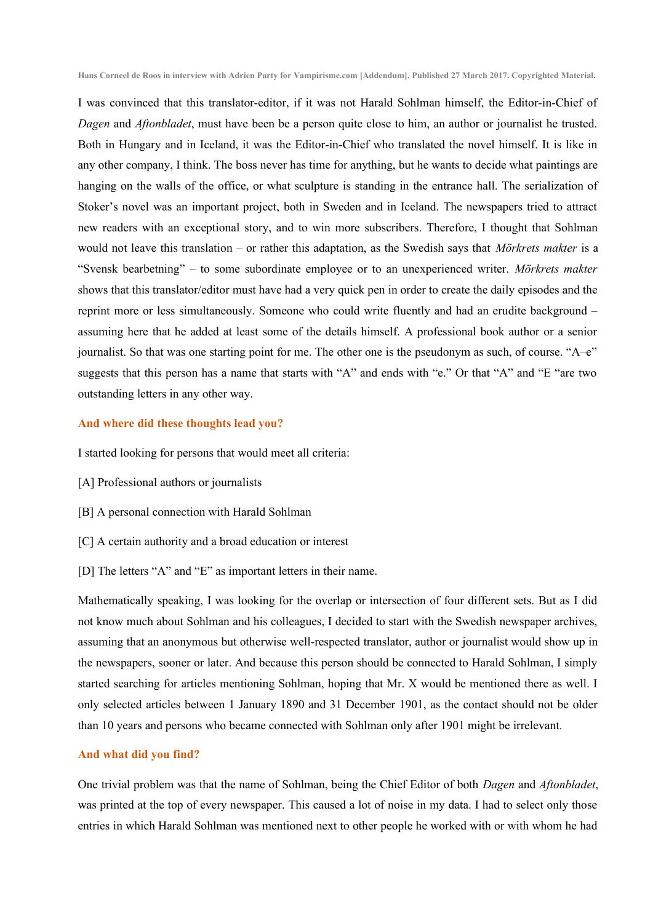I was convinced that this translator-editor, if it was not Harald Sohlman himself, the Editor-in-Chief of *Dagen* and *Aftonbladet*, must have been be a person quite close to him, an author or journalist he trusted. Both in Hungary and in Iceland, it was the Editor-in-Chief who translated the novel himself. It is like in any other company, I think. The boss never has time for anything, but he wants to decide what paintings are hanging on the walls of the office, or what sculpture is standing in the entrance hall. The serialization of Stoker's novel was an important project, both in Sweden and in Iceland. The newspapers tried to attract new readers with an exceptional story, and to win more subscribers. Therefore, I thought that Sohlman would not leave this translation – or rather this adaptation, as the Swedish says that *Mörkrets makter* is a "Svensk bearbetning" – to some subordinate employee or to an unexperienced writer. *Mörkrets makter* shows that this translator/editor must have had a very quick pen in order to create the daily episodes and the reprint more or less simultaneously. Someone who could write fluently and had an erudite background – assuming here that he added at least some of the details himself. A professional book author or a senior journalist. So that was one starting point for me. The other one is the pseudonym as such, of course. " $A-e$ " suggests that this person has a name that starts with "A" and ends with "e." Or that "A" and "E "are two outstanding letters in any other way.

### **And where did these thoughts lead you?**

I started looking for persons that would meet all criteria:

- [A] Professional authors or journalists
- [B] A personal connection with Harald Sohlman
- [C] A certain authority and a broad education or interest
- [D] The letters "A" and "E" as important letters in their name.

Mathematically speaking, I was looking for the overlap or intersection of four different sets. But as I did not know much about Sohlman and his colleagues, I decided to start with the Swedish newspaper archives, assuming that an anonymous but otherwise well-respected translator, author or journalist would show up in the newspapers, sooner or later. And because this person should be connected to Harald Sohlman, I simply started searching for articles mentioning Sohlman, hoping that Mr. X would be mentioned there as well. I only selected articles between 1 January 1890 and 31 December 1901, as the contact should not be older than 10 years and persons who became connected with Sohlman only after 1901 might be irrelevant.

### **And what did you find?**

One trivial problem was that the name of Sohlman, being the Chief Editor of both *Dagen* and *Aftonbladet*, was printed at the top of every newspaper. This caused a lot of noise in my data. I had to select only those entries in which Harald Sohlman was mentioned next to other people he worked with or with whom he had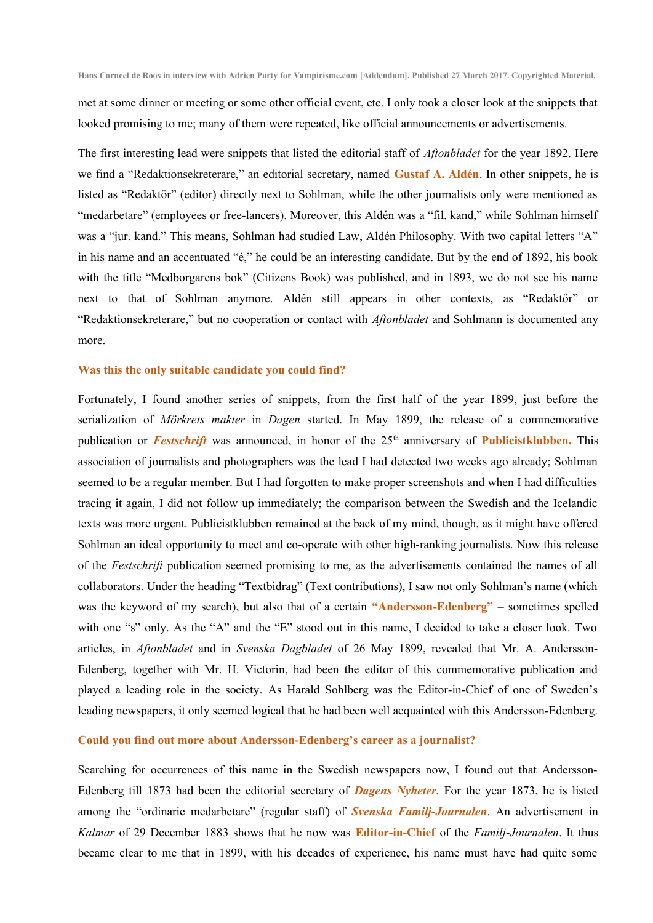met at some dinner or meeting or some other official event, etc. I only took a closer look at the snippets that looked promising to me; many of them were repeated, like official announcements or advertisements.

The first interesting lead were snippets that listed the editorial staff of *Aftonbladet* for the year 1892. Here we find a "Redaktionsekreterare," an editorial secretary, named **Gustaf A. Aldén**. In other snippets, he is listed as "Redaktör" (editor) directly next to Sohlman, while the other journalists only were mentioned as "medarbetare" (employees or free-lancers). Moreover, this Aldén was a "fil. kand," while Sohlman himself was a "jur. kand." This means, Sohlman had studied Law, Aldén Philosophy. With two capital letters "A" in his name and an accentuated "é," he could be an interesting candidate. But by the end of 1892, his book with the title "Medborgarens bok" (Citizens Book) was published, and in 1893, we do not see his name next to that of Sohlman anymore. Aldén still appears in other contexts, as "Redaktör" or "Redaktionsekreterare," but no cooperation or contact with *Aftonbladet* and Sohlmann is documented any more.

#### **Was this the only suitable candidate you could find?**

Fortunately, I found another series of snippets, from the first half of the year 1899, just before the serialization of *Mörkrets makter* in *Dagen* started. In May 1899, the release of a commemorative publication or *Festschrift* was announced, in honor of the 25<sup>th</sup> anniversary of **Publicistklubben.** This association of journalists and photographers was the lead I had detected two weeks ago already; Sohlman seemed to be a regular member. But I had forgotten to make proper screenshots and when I had difficulties tracing it again, I did not follow up immediately; the comparison between the Swedish and the Icelandic texts was more urgent. Publicistklubben remained at the back of my mind, though, as it might have offered Sohlman an ideal opportunity to meet and co-operate with other high-ranking journalists. Now this release of the *Festschrift* publication seemed promising to me, as the advertisements contained the names of all collaborators. Under the heading "Textbidrag" (Text contributions), I saw not only Sohlman's name (which was the keyword of my search), but also that of a certain **"Andersson-Edenberg"** – sometimes spelled with one "s" only. As the "A" and the "E" stood out in this name, I decided to take a closer look. Two articles, in *Aftonbladet* and in *Svenska Dagbladet* of 26 May 1899, revealed that Mr. A. Andersson-Edenberg, together with Mr. H. Victorin, had been the editor of this commemorative publication and played a leading role in the society. As Harald Sohlberg was the Editor-in-Chief of one of Sweden's leading newspapers, it only seemed logical that he had been well acquainted with this Andersson-Edenberg.

### **Could you find out more about Andersson-Edenberg's career as a journalist?**

Searching for occurrences of this name in the Swedish newspapers now, I found out that Andersson-Edenberg till 1873 had been the editorial secretary of *Dagens Nyheter.* For the year 1873, he is listed among the "ordinarie medarbetare" (regular staff) of *Svenska Familj-Journalen*. An advertisement in *Kalmar* of 29 December 1883 shows that he now was **Editor-in-Chief** of the *Familj-Journalen*. It thus became clear to me that in 1899, with his decades of experience, his name must have had quite some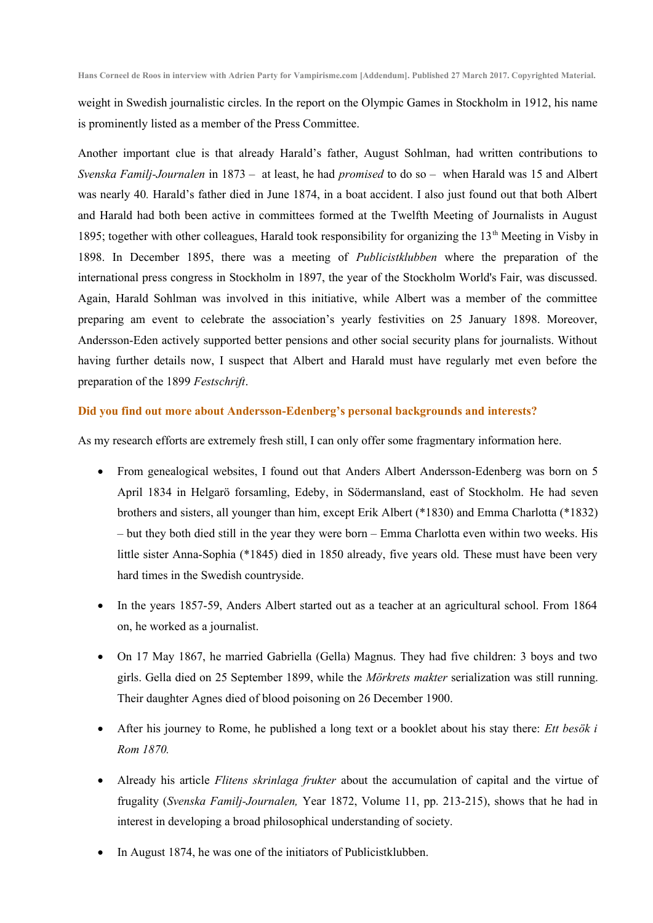weight in Swedish journalistic circles. In the report on the Olympic Games in Stockholm in 1912, his name is prominently listed as a member of the Press Committee.

Another important clue is that already Harald's father, August Sohlman, had written contributions to *Svenska Familj-Journalen* in 1873 – at least, he had *promised* to do so – when Harald was 15 and Albert was nearly 40*.* Harald's father died in June 1874, in a boat accident. I also just found out that both Albert and Harald had both been active in committees formed at the Twelfth Meeting of Journalists in August 1895; together with other colleagues, Harald took responsibility for organizing the 13<sup>th</sup> Meeting in Visby in 1898. In December 1895, there was a meeting of *Publicistklubben* where the preparation of the international press congress in Stockholm in 1897, the year of the Stockholm World's Fair, was discussed. Again, Harald Sohlman was involved in this initiative, while Albert was a member of the committee preparing am event to celebrate the association's yearly festivities on 25 January 1898. Moreover, Andersson-Eden actively supported better pensions and other social security plans for journalists. Without having further details now, I suspect that Albert and Harald must have regularly met even before the preparation of the 1899 *Festschrift*.

#### **Did you find out more about Andersson-Edenberg's personal backgrounds and interests?**

As my research efforts are extremely fresh still, I can only offer some fragmentary information here.

- From genealogical websites, I found out that Anders Albert Andersson-Edenberg was born on 5 April 1834 in Helgarö forsamling, Edeby, in Södermansland, east of Stockholm. He had seven brothers and sisters, all younger than him, except Erik Albert (\*1830) and Emma Charlotta (\*1832) – but they both died still in the year they were born – Emma Charlotta even within two weeks. His little sister Anna-Sophia (\*1845) died in 1850 already, five years old. These must have been very hard times in the Swedish countryside.
- In the years 1857-59, Anders Albert started out as a teacher at an agricultural school. From 1864 on, he worked as a journalist.
- On 17 May 1867, he married Gabriella (Gella) Magnus. They had five children: 3 boys and two girls. Gella died on 25 September 1899, while the *Mörkrets makter* serialization was still running. Their daughter Agnes died of blood poisoning on 26 December 1900.
- After his journey to Rome, he published a long text or a booklet about his stay there: *Ett besök i Rom 1870.*
- Already his article *Flitens skrinlaga frukter* about the accumulation of capital and the virtue of frugality (*Svenska Familj-Journalen,* Year 1872, Volume 11, pp. 213-215), shows that he had in interest in developing a broad philosophical understanding of society.
- In August 1874, he was one of the initiators of Publicistklubben.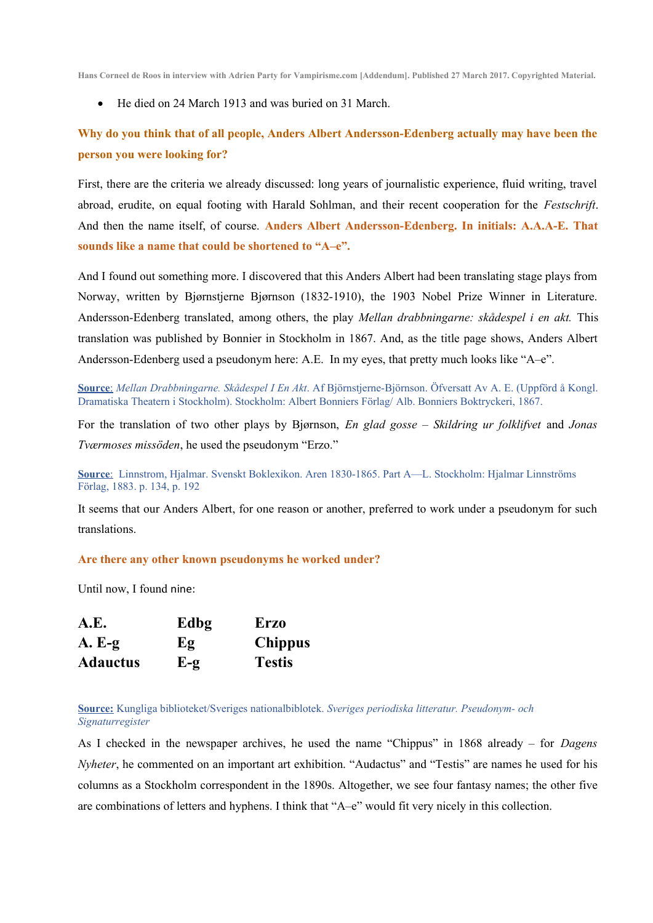**Hans Corneel de Roos in interview with Adrien Party for Vampirisme.com [Addendum]. Published 27 March 2017. Copyrighted Material.**

He died on 24 March 1913 and was buried on 31 March.

# **Why do you think that of all people, Anders Albert Andersson-Edenberg actually may have been the person you were looking for?**

First, there are the criteria we already discussed: long years of journalistic experience, fluid writing, travel abroad, erudite, on equal footing with Harald Sohlman, and their recent cooperation for the *Festschrift*. And then the name itself, of course. **Anders Albert Andersson-Edenberg. In initials: A.A.A-E. That sounds like a name that could be shortened to "A‒e".**

And I found out something more. I discovered that this Anders Albert had been translating stage plays from Norway, written by Bjørnstjerne Bjørnson (1832-1910), the 1903 Nobel Prize Winner in Literature. Andersson-Edenberg translated, among others, the play *Mellan drabbningarne: skådespel i en akt.* This translation was published by Bonnier in Stockholm in 1867. And, as the title page shows, Anders Albert Andersson-Edenberg used a pseudonym here: A.E. In my eyes, that pretty much looks like " $A-e$ ".

 **Source** : *Mellan Drabbningarne. Skådespel I En Akt*. Af Björnstjerne-Björnson. Öfversatt Av A. E. (Uppförd å Kongl. Dramatiska Theatern i Stockholm). Stockholm: Albert Bonniers Förlag/ Alb. Bonniers Boktryckeri, 1867.

For the translation of two other plays by Bjørnson, *En glad gosse – Skildring ur folklifvet* and *Jonas Tværmoses missöden*, he used the pseudonym "Erzo."

 **Source** : Linnstrom, Hjalmar. Svenskt Boklexikon. Aren 1830-1865. Part A—L. Stockholm: Hjalmar Linnströms Förlag, 1883. p. 134, p. 192

It seems that our Anders Albert, for one reason or another, preferred to work under a pseudonym for such translations.

**Are there any other known pseudonyms he worked under?**

Until now, I found nine:

| A.E.            | Edbg           | <b>Erzo</b>    |
|-----------------|----------------|----------------|
| $A. E-g$        | Eg             | <b>Chippus</b> |
| <b>Adauctus</b> | $E-\mathbf{g}$ | <b>Testis</b>  |

**Source:** Kungliga biblioteket/Sveriges nationalbiblotek. *Sveriges periodiska litteratur. Pseudonym- och Signaturregister*

As I checked in the newspaper archives, he used the name "Chippus" in 1868 already – for *Dagens Nyheter*, he commented on an important art exhibition. "Audactus" and "Testis" are names he used for his columns as a Stockholm correspondent in the 1890s. Altogether, we see four fantasy names; the other five are combinations of letters and hyphens. I think that "A—e" would fit very nicely in this collection.